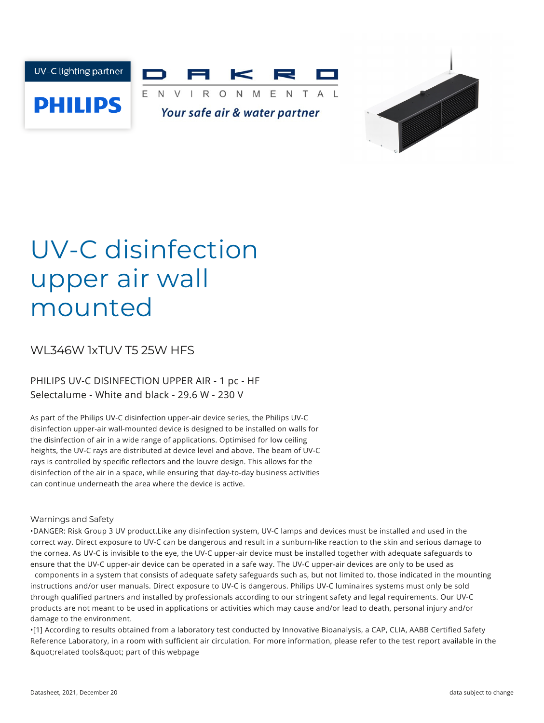



# UV-C disinfection upper air wall mounted

# WL346W 1xTUV T5 25W HFS

## PHILIPS UV-C DISINFECTION UPPER AIR - 1 pc - HF Selectalume - White and black - 29.6 W - 230 V

As part of the Philips UV-C disinfection upper-air device series, the Philips UV-C disinfection upper-air wall-mounted device is designed to be installed on walls for the disinfection of air in a wide range of applications. Optimised for low ceiling heights, the UV-C rays are distributed at device level and above. The beam of UV-C rays is controlled by specific reflectors and the louvre design. This allows for the disinfection of the air in a space, while ensuring that day-to-day business activities can continue underneath the area where the device is active.

### Warnings and Safety

•DANGER: Risk Group 3 UV product.Like any disinfection system, UV-C lamps and devices must be installed and used in the correct way. Direct exposure to UV-C can be dangerous and result in a sunburn-like reaction to the skin and serious damage to the cornea. As UV-C is invisible to the eye, the UV-C upper-air device must be installed together with adequate safeguards to ensure that the UV-C upper-air device can be operated in a safe way. The UV-C upper-air devices are only to be used as

components in a system that consists of adequate safety safeguards such as, but not limited to, those indicated in the mounting instructions and/or user manuals. Direct exposure to UV-C is dangerous. Philips UV-C luminaires systems must only be sold through qualified partners and installed by professionals according to our stringent safety and legal requirements. Our UV-C products are not meant to be used in applications or activities which may cause and/or lead to death, personal injury and/or damage to the environment.

•[1] According to results obtained from a laboratory test conducted by Innovative Bioanalysis, a CAP, CLIA, AABB Certified Safety Reference Laboratory, in a room with sufficient air circulation. For more information, please refer to the test report available in the & quot; related tools & quot; part of this webpage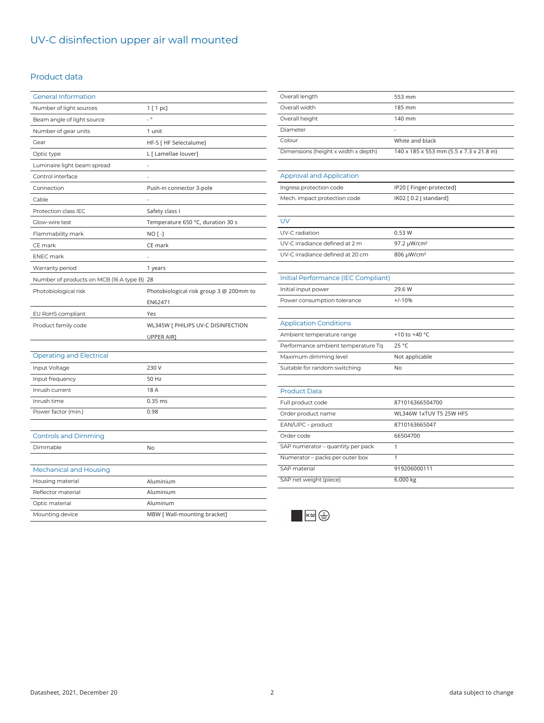# UV-C disinfection upper air wall mounted

### Product data

| <b>General Information</b>                 |                                          |
|--------------------------------------------|------------------------------------------|
| Number of light sources                    | 1 [ 1 pc]                                |
| Beam angle of light source                 | $\overline{\phantom{a}}$                 |
| Number of gear units                       | 1 unit                                   |
| Gear                                       | HF-S [ HF Selectalume]                   |
| Optic type                                 | L [ Lamellae louver]                     |
| Luminaire light beam spread                |                                          |
| Control interface                          |                                          |
| Connection                                 | Push-in connector 3-pole                 |
| Cable                                      |                                          |
| Protection class IEC                       | Safety class I                           |
| Glow-wire test                             | Temperature 650 °C, duration 30 s        |
| Flammability mark                          | NO [-]                                   |
| CE mark                                    | CE mark                                  |
| <b>ENEC mark</b>                           |                                          |
| Warranty period                            | 1 years                                  |
| Number of products on MCB (16 A type B) 28 |                                          |
| Photobiological risk                       | Photobiological risk group 3 @ 200mm to  |
|                                            | EN62471                                  |
| EU RoHS compliant                          | Yes                                      |
| Product family code                        | WL345W [ PHILIPS UV-C DISINFECTION       |
|                                            | UPPER AIR]                               |
|                                            |                                          |
| <b>Operating and Electrical</b>            |                                          |
| Input Voltage                              | 230 V                                    |
| Input frequency                            | 50 Hz                                    |
| Inrush current                             | 18 A                                     |
| Inrush time                                | $0.35$ ms                                |
| Power factor (min.)                        | 0.98                                     |
|                                            |                                          |
| <b>Controls and Dimming</b>                |                                          |
| Dimmable                                   | No                                       |
|                                            |                                          |
|                                            |                                          |
| <b>Mechanical and Housing</b>              |                                          |
| Housing material                           | Aluminium                                |
| Reflector material                         | Aluminium                                |
| Optic material<br>Mounting device          | Aluminum<br>MBW [ Wall-mounting bracket] |

| Overall length                      | 553 mm                                   |
|-------------------------------------|------------------------------------------|
| Overall width                       | 185 mm                                   |
| Overall height                      | 140 mm                                   |
| Diameter                            |                                          |
| Colour                              | White and black                          |
| Dimensions (height x width x depth) | 140 x 185 x 553 mm (5.5 x 7.3 x 21.8 in) |
|                                     |                                          |
| <b>Approval and Application</b>     |                                          |
| Ingress protection code             | IP20 [ Finger-protected]                 |
| Mech. impact protection code        | IK02 [0.2 J standard]                    |
|                                     |                                          |
| <b>UV</b>                           |                                          |
| UV-C radiation                      | 0.53W                                    |
| UV-C irradiance defined at 2 m      | 97.2 µW/cm <sup>2</sup>                  |
| UV-C irradiance defined at 20 cm    | 806 µW/cm <sup>2</sup>                   |
|                                     |                                          |
| Initial Performance (IEC Compliant) |                                          |
| Initial input power                 | 29.6 W                                   |
| Power consumption tolerance         | $+/-10%$                                 |
|                                     |                                          |
| <b>Application Conditions</b>       |                                          |
| Ambient temperature range           | +10 to +40 °C                            |
| Performance ambient temperature Tq  | 25 °C                                    |
| Maximum dimming level               | Not applicable                           |
| Suitable for random switching       | No                                       |
|                                     |                                          |
| <b>Product Data</b>                 |                                          |
| Full product code                   | 871016366504700                          |
| Order product name                  | WL346W 1xTUV T5 25W HFS                  |
| EAN/UPC - product                   | 8710163665047                            |
| Order code                          | 66504700                                 |
| SAP numerator - quantity per pack   | 1                                        |
| Numerator - packs per outer box     | 1                                        |
| SAP material                        | 919206000111                             |
| SAP net weight (piece)              | $6.000$ $kg$                             |